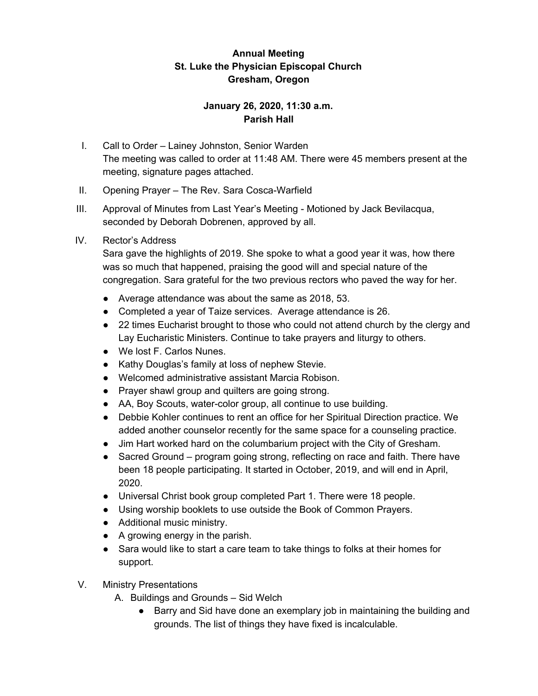## **Annual Meeting St. Luke the Physician Episcopal Church Gresham, Oregon**

## **January 26, 2020, 11:30 a.m. Parish Hall**

- I. Call to Order Lainey Johnston, Senior Warden The meeting was called to order at 11:48 AM. There were 45 members present at the meeting, signature pages attached.
- II. Opening Prayer The Rev. Sara Cosca-Warfield
- III. Approval of Minutes from Last Year's Meeting Motioned by Jack Bevilacqua, seconded by Deborah Dobrenen, approved by all.

## IV. Rector's Address

Sara gave the highlights of 2019. She spoke to what a good year it was, how there was so much that happened, praising the good will and special nature of the congregation. Sara grateful for the two previous rectors who paved the way for her.

- Average attendance was about the same as 2018, 53.
- Completed a year of Taize services. Average attendance is 26.
- 22 times Eucharist brought to those who could not attend church by the clergy and Lay Eucharistic Ministers. Continue to take prayers and liturgy to others.
- We lost F. Carlos Nunes.
- Kathy Douglas's family at loss of nephew Stevie.
- Welcomed administrative assistant Marcia Robison.
- Prayer shawl group and quilters are going strong.
- AA, Boy Scouts, water-color group, all continue to use building.
- Debbie Kohler continues to rent an office for her Spiritual Direction practice. We added another counselor recently for the same space for a counseling practice.
- Jim Hart worked hard on the columbarium project with the City of Gresham.
- Sacred Ground program going strong, reflecting on race and faith. There have been 18 people participating. It started in October, 2019, and will end in April, 2020.
- Universal Christ book group completed Part 1. There were 18 people.
- Using worship booklets to use outside the Book of Common Prayers.
- Additional music ministry.
- A growing energy in the parish.
- Sara would like to start a care team to take things to folks at their homes for support.
- V. Ministry Presentations
	- A. Buildings and Grounds Sid Welch
		- Barry and Sid have done an exemplary job in maintaining the building and grounds. The list of things they have fixed is incalculable.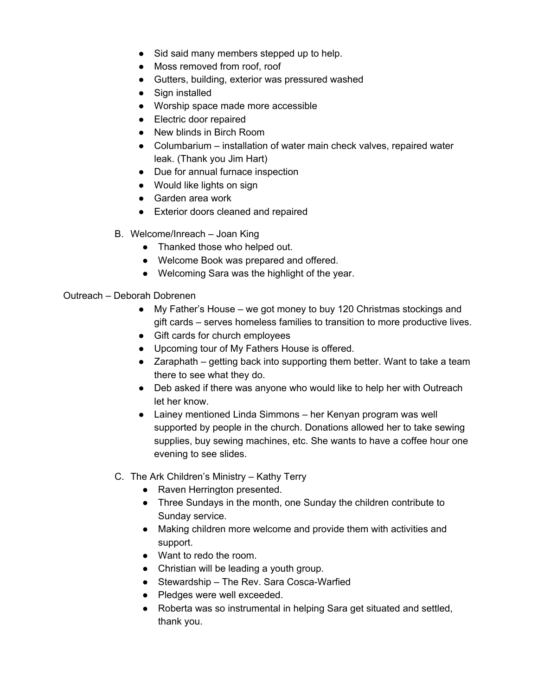- Sid said many members stepped up to help.
- Moss removed from roof, roof
- Gutters, building, exterior was pressured washed
- Sign installed
- Worship space made more accessible
- Electric door repaired
- New blinds in Birch Room
- Columbarium installation of water main check valves, repaired water leak. (Thank you Jim Hart)
- Due for annual furnace inspection
- Would like lights on sign
- Garden area work
- Exterior doors cleaned and repaired
- B. Welcome/Inreach Joan King
	- Thanked those who helped out.
	- Welcome Book was prepared and offered.
	- Welcoming Sara was the highlight of the year.

#### Outreach – Deborah Dobrenen

- My Father's House we got money to buy 120 Christmas stockings and gift cards – serves homeless families to transition to more productive lives.
- Gift cards for church employees
- Upcoming tour of My Fathers House is offered.
- Zaraphath getting back into supporting them better. Want to take a team there to see what they do.
- Deb asked if there was anyone who would like to help her with Outreach let her know.
- Lainey mentioned Linda Simmons her Kenyan program was well supported by people in the church. Donations allowed her to take sewing supplies, buy sewing machines, etc. She wants to have a coffee hour one evening to see slides.
- C. The Ark Children's Ministry Kathy Terry
	- Raven Herrington presented.
	- Three Sundays in the month, one Sunday the children contribute to Sunday service.
	- Making children more welcome and provide them with activities and support.
	- Want to redo the room.
	- Christian will be leading a youth group.
	- Stewardship The Rev. Sara Cosca-Warfied
	- Pledges were well exceeded.
	- Roberta was so instrumental in helping Sara get situated and settled, thank you.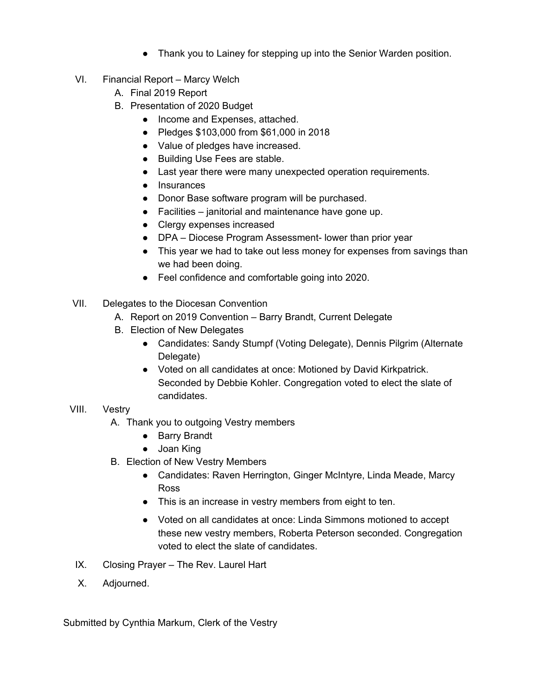- Thank you to Lainey for stepping up into the Senior Warden position.
- VI. Financial Report Marcy Welch
	- A. Final 2019 Report
	- B. Presentation of 2020 Budget
		- Income and Expenses, attached.
		- Pledges \$103,000 from \$61,000 in 2018
		- Value of pledges have increased.
		- Building Use Fees are stable.
		- Last year there were many unexpected operation requirements.
		- Insurances
		- Donor Base software program will be purchased.
		- Facilities janitorial and maintenance have gone up.
		- Clergy expenses increased
		- DPA Diocese Program Assessment- lower than prior year
		- This year we had to take out less money for expenses from savings than we had been doing.
		- Feel confidence and comfortable going into 2020.
- VII. Delegates to the Diocesan Convention
	- A. Report on 2019 Convention Barry Brandt, Current Delegate
	- B. Election of New Delegates
		- Candidates: Sandy Stumpf (Voting Delegate), Dennis Pilgrim (Alternate Delegate)
		- Voted on all candidates at once: Motioned by David Kirkpatrick. Seconded by Debbie Kohler. Congregation voted to elect the slate of candidates.

## VIII. Vestry

- A. Thank you to outgoing Vestry members
	- Barry Brandt
	- Joan King
- B. Election of New Vestry Members
	- Candidates: Raven Herrington, Ginger McIntyre, Linda Meade, Marcy Ross
	- This is an increase in vestry members from eight to ten.
	- Voted on all candidates at once: Linda Simmons motioned to accept these new vestry members, Roberta Peterson seconded. Congregation voted to elect the slate of candidates.
- IX. Closing Prayer The Rev. Laurel Hart
- X. Adjourned.

Submitted by Cynthia Markum, Clerk of the Vestry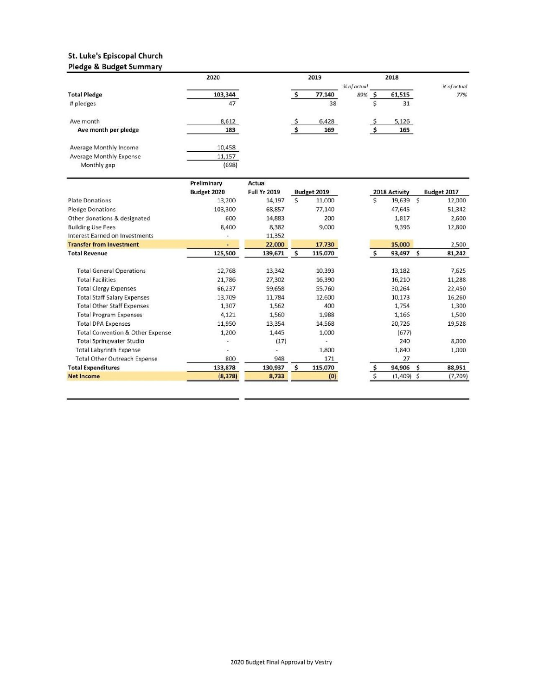#### St. Luke's Episcopal Church **Pledge & Budget Summary**

|                         | 2020    | 2019 |        | 2018        |  |        |             |
|-------------------------|---------|------|--------|-------------|--|--------|-------------|
|                         |         |      |        | % of actual |  |        | % of actual |
| <b>Total Pledge</b>     | 103,344 |      | 77,140 | 89%         |  | 61,515 | 77%         |
| # pledges               | 47      |      | 38     |             |  | 31     |             |
| Ave month               | 8,612   |      | 6,428  |             |  | 5,126  |             |
| Ave month per pledge    | 183     |      | 169    |             |  | 165    |             |
| Average Monthly Income  | 10,458  |      |        |             |  |        |             |
| Average Monthly Expense | 11,157  |      |        |             |  |        |             |
| Monthly gap             | (698)   |      |        |             |  |        |             |

|                                             | Preliminary | Actual                             |              |         |               |              |             |         |
|---------------------------------------------|-------------|------------------------------------|--------------|---------|---------------|--------------|-------------|---------|
|                                             | Budget 2020 | <b>Full Yr 2019</b><br>Budget 2019 |              |         | 2018 Activity |              | Budget 2017 |         |
| <b>Plate Donations</b>                      | 13,200      | 14,197                             | $\mathsf{S}$ | 11,000  | Ś             | 19,639       | Ś           | 12,000  |
| <b>Pledge Donations</b>                     | 103,300     | 68,857                             |              | 77,140  |               | 47,645       |             | 51,342  |
| Other donations & designated                | 600         | 14,883                             |              | 200     |               | 1,817        |             | 2,600   |
| <b>Building Use Fees</b>                    | 8,400       | 8,382                              |              | 9,000   |               | 9,396        |             | 12,800  |
| Interest Earned on Investments              |             | 11,352                             |              |         |               |              |             |         |
| <b>Transfer from Investment</b>             |             | 22,000                             |              | 17,730  |               | 15,000       |             | 2,500   |
| <b>Total Revenue</b>                        | 125,500     | 139,671                            | s            | 115,070 |               | 93,497       | \$          | 81,242  |
| <b>Total General Operations</b>             | 12,768      | 13,342                             |              | 10,393  |               | 13,182       |             | 7,625   |
| <b>Total Facilities</b>                     | 21,786      | 27,302                             |              | 16,390  |               | 16,210       |             | 11,288  |
| <b>Total Clergy Expenses</b>                | 66,237      | 59,658                             |              | 55,760  |               | 30,264       |             | 22,450  |
| <b>Total Staff Salary Expenses</b>          | 13,709      | 11,784                             |              | 12,600  |               | 10,173       |             | 16,260  |
| <b>Total Other Staff Expenses</b>           | 1,307       | 1,562                              |              | 400     |               | 1,754        |             | 1,300   |
| <b>Total Program Expenses</b>               | 4,121       | 1,560                              |              | 1,988   |               | 1,166        |             | 1,500   |
| <b>Total DPA Expenses</b>                   | 11,950      | 13,354                             |              | 14,568  |               | 20,726       |             | 19,528  |
| <b>Total Convention &amp; Other Expense</b> | 1,200       | 1,445                              |              | 1,000   |               | (677)        |             |         |
| <b>Total Springwater Studio</b>             | $\sim$      | (17)                               |              |         |               | 240          |             | 8,000   |
| <b>Total Labyrinth Expense</b>              | $\alpha$    |                                    |              | 1,800   |               | 1,840        |             | 1,000   |
| <b>Total Other Outreach Expense</b>         | 800         | 948                                |              | 171     |               | 27           |             |         |
| <b>Total Expenditures</b>                   | 133,878     | 130,937                            | Ŝ            | 115,070 |               | 94,906       | \$          | 88,951  |
| <b>Net Income</b>                           | (8, 378)    | 8,733                              |              | (0)     |               | $(1,409)$ \$ |             | (7,709) |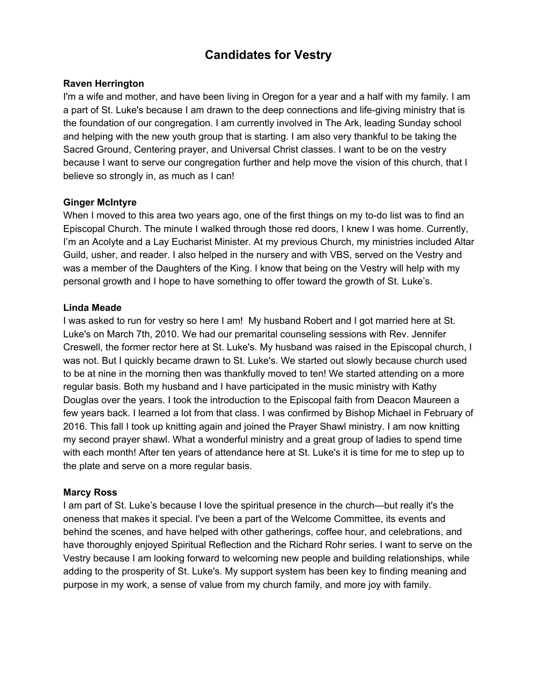# **Candidates for Vestry**

#### **Raven Herrington**

I'm a wife and mother, and have been living in Oregon for a year and a half with my family. I am a part of St. Luke's because I am drawn to the deep connections and life-giving ministry that is the foundation of our congregation. I am currently involved in The Ark, leading Sunday school and helping with the new youth group that is starting. I am also very thankful to be taking the Sacred Ground, Centering prayer, and Universal Christ classes. I want to be on the vestry because I want to serve our congregation further and help move the vision of this church, that I believe so strongly in, as much as I can!

#### **Ginger McIntyre**

When I moved to this area two years ago, one of the first things on my to-do list was to find an Episcopal Church. The minute I walked through those red doors, I knew I was home. Currently, I'm an Acolyte and a Lay Eucharist Minister. At my previous Church, my ministries included Altar Guild, usher, and reader. I also helped in the nursery and with VBS, served on the Vestry and was a member of the Daughters of the King. I know that being on the Vestry will help with my personal growth and I hope to have something to offer toward the growth of St. Luke's.

#### **Linda Meade**

I was asked to run for vestry so here I am! My husband Robert and I got married here at St. Luke's on March 7th, 2010. We had our premarital counseling sessions with Rev. Jennifer Creswell, the former rector here at St. Luke's. My husband was raised in the Episcopal church, I was not. But I quickly became drawn to St. Luke's. We started out slowly because church used to be at nine in the morning then was thankfully moved to ten! We started attending on a more regular basis. Both my husband and I have participated in the music ministry with Kathy Douglas over the years. I took the introduction to the Episcopal faith from Deacon Maureen a few years back. I learned a lot from that class. I was confirmed by Bishop Michael in February of 2016. This fall I took up knitting again and joined the Prayer Shawl ministry. I am now knitting my second prayer shawl. What a wonderful ministry and a great group of ladies to spend time with each month! After ten years of attendance here at St. Luke's it is time for me to step up to the plate and serve on a more regular basis.

#### **Marcy Ross**

I am part of St. Luke's because I love the spiritual presence in the church—but really it's the oneness that makes it special. I've been a part of the Welcome Committee, its events and behind the scenes, and have helped with other gatherings, coffee hour, and celebrations, and have thoroughly enjoyed Spiritual Reflection and the Richard Rohr series. I want to serve on the Vestry because I am looking forward to welcoming new people and building relationships, while adding to the prosperity of St. Luke's. My support system has been key to finding meaning and purpose in my work, a sense of value from my church family, and more joy with family.